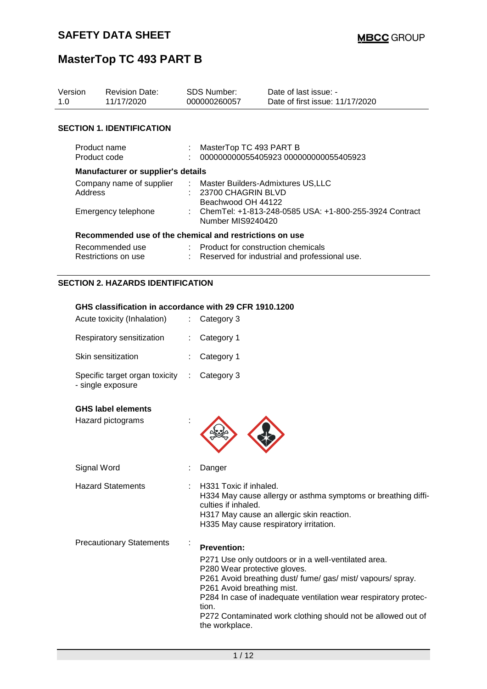| Version<br>1.0                         | <b>Revision Date:</b><br>11/17/2020                     | <b>SDS Number:</b><br>000000260057 |                                                                                         | Date of last issue: -<br>Date of first issue: 11/17/2020 |  |
|----------------------------------------|---------------------------------------------------------|------------------------------------|-----------------------------------------------------------------------------------------|----------------------------------------------------------|--|
|                                        |                                                         |                                    |                                                                                         |                                                          |  |
|                                        | <b>SECTION 1. IDENTIFICATION</b>                        |                                    |                                                                                         |                                                          |  |
| Product code                           | Product name                                            | $\mathcal{L}^{\mathcal{L}}$        | MasterTop TC 493 PART B<br>000000000055405923 000000000055405923                        |                                                          |  |
|                                        | <b>Manufacturer or supplier's details</b>               |                                    |                                                                                         |                                                          |  |
|                                        | Company name of supplier<br>Address                     |                                    | : Master Builders-Admixtures US,LLC<br>: 23700 CHAGRIN BLVD<br>Beachwood OH 44122       |                                                          |  |
| Emergency telephone                    |                                                         |                                    | : ChemTel: +1-813-248-0585 USA: +1-800-255-3924 Contract<br>Number MIS9240420           |                                                          |  |
|                                        | Recommended use of the chemical and restrictions on use |                                    |                                                                                         |                                                          |  |
| Recommended use<br>Restrictions on use |                                                         |                                    | : Product for construction chemicals<br>: Reserved for industrial and professional use. |                                                          |  |
|                                        | <b>SECTION 2. HAZARDS IDENTIFICATION</b>                |                                    |                                                                                         |                                                          |  |

#### **GHS classification in accordance with 29 CFR 1910.1200**

| Acute toxicity (Inhalation)                         | $\therefore$ Category 3 |
|-----------------------------------------------------|-------------------------|
| Respiratory sensitization                           | : Category 1            |
| Skin sensitization                                  | $:$ Category 1          |
| Specific target organ toxicity<br>- single exposure | $\therefore$ Category 3 |

#### **GHS label elements**

| Hazard pictograms               |                                                                                                                                                                                                                                                                                                                                                                       |
|---------------------------------|-----------------------------------------------------------------------------------------------------------------------------------------------------------------------------------------------------------------------------------------------------------------------------------------------------------------------------------------------------------------------|
| Signal Word                     | Danger                                                                                                                                                                                                                                                                                                                                                                |
| <b>Hazard Statements</b>        | H331 Toxic if inhaled.<br>H334 May cause allergy or asthma symptoms or breathing diffi-<br>culties if inhaled.<br>H317 May cause an allergic skin reaction.<br>H335 May cause respiratory irritation.                                                                                                                                                                 |
| <b>Precautionary Statements</b> | <b>Prevention:</b><br>P271 Use only outdoors or in a well-ventilated area.<br>P280 Wear protective gloves.<br>P261 Avoid breathing dust/ fume/ gas/ mist/ vapours/ spray.<br>P261 Avoid breathing mist.<br>P284 In case of inadequate ventilation wear respiratory protec-<br>tion.<br>P272 Contaminated work clothing should not be allowed out of<br>the workplace. |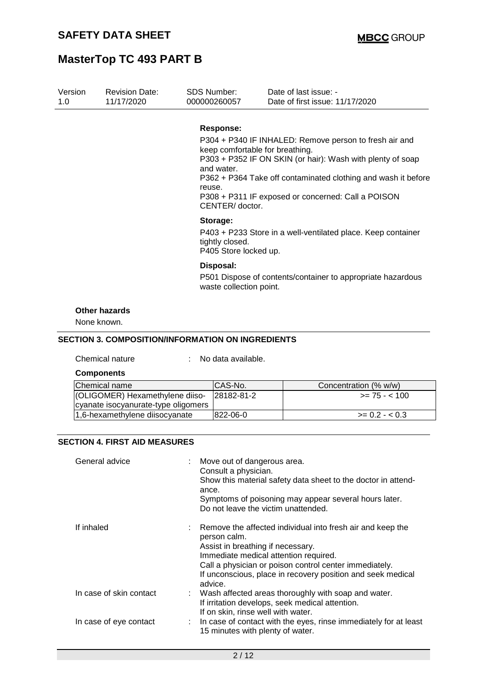| Version<br>1.0 | <b>Revision Date:</b><br>11/17/2020                      | <b>SDS Number:</b><br>000000260057                         |                                 | Date of last issue: -<br>Date of first issue: 11/17/2020                                                                                                                                                                                    |
|----------------|----------------------------------------------------------|------------------------------------------------------------|---------------------------------|---------------------------------------------------------------------------------------------------------------------------------------------------------------------------------------------------------------------------------------------|
|                |                                                          | <b>Response:</b><br>and water.<br>reuse.<br>CENTER/doctor. | keep comfortable for breathing. | P304 + P340 IF INHALED: Remove person to fresh air and<br>P303 + P352 IF ON SKIN (or hair): Wash with plenty of soap<br>P362 + P364 Take off contaminated clothing and wash it before<br>P308 + P311 IF exposed or concerned: Call a POISON |
|                |                                                          | Storage:<br>tightly closed.                                | P405 Store locked up.           | P403 + P233 Store in a well-ventilated place. Keep container                                                                                                                                                                                |
|                |                                                          | Disposal:                                                  | waste collection point.         | P501 Dispose of contents/container to appropriate hazardous                                                                                                                                                                                 |
|                | <b>Other hazards</b><br>None known.                      |                                                            |                                 |                                                                                                                                                                                                                                             |
|                | <b>SECTION 3. COMPOSITION/INFORMATION ON INGREDIENTS</b> |                                                            |                                 |                                                                                                                                                                                                                                             |
|                | Chemical nature                                          | No data available.                                         |                                 |                                                                                                                                                                                                                                             |
|                | <b>Components</b>                                        |                                                            |                                 |                                                                                                                                                                                                                                             |
|                | Chemical name                                            | CAS-No.                                                    |                                 | Concentration (% w/w)                                                                                                                                                                                                                       |
|                | (OLIGOMER) Hexamethylene diiso-                          |                                                            | 28182-81-2                      | $>= 75 - 100$                                                                                                                                                                                                                               |

#### **SECTION 4. FIRST AID MEASURES**

cyanate isocyanurate-type oligomers

| General advice          | : Move out of dangerous area.<br>Consult a physician.<br>Show this material safety data sheet to the doctor in attend-<br>ance.<br>Symptoms of poisoning may appear several hours later.<br>Do not leave the victim unattended.                                                              |
|-------------------------|----------------------------------------------------------------------------------------------------------------------------------------------------------------------------------------------------------------------------------------------------------------------------------------------|
| If inhaled              | Remove the affected individual into fresh air and keep the<br>person calm.<br>Assist in breathing if necessary.<br>Immediate medical attention required.<br>Call a physician or poison control center immediately.<br>If unconscious, place in recovery position and seek medical<br>advice. |
| In case of skin contact | : Wash affected areas thoroughly with soap and water.<br>If irritation develops, seek medical attention.<br>If on skin, rinse well with water.                                                                                                                                               |
| In case of eye contact  | : In case of contact with the eyes, rinse immediately for at least<br>15 minutes with plenty of water.                                                                                                                                                                                       |

1,6-hexamethylene diisocyanate  $822-06-0$   $> 0.2 - 0.3$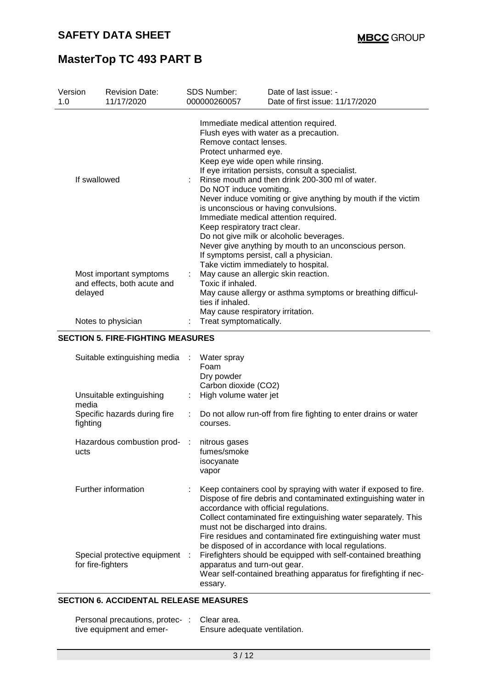| Version | <b>Revision Date:</b>       | <b>SDS Number:</b>                                          | Date of last issue: -                                                                                                                                                                                                                                                                                                                                                                                                                                                                                                                                                                                                                                                                    |  |  |
|---------|-----------------------------|-------------------------------------------------------------|------------------------------------------------------------------------------------------------------------------------------------------------------------------------------------------------------------------------------------------------------------------------------------------------------------------------------------------------------------------------------------------------------------------------------------------------------------------------------------------------------------------------------------------------------------------------------------------------------------------------------------------------------------------------------------------|--|--|
| 1.0     | 11/17/2020                  | 000000260057                                                | Date of first issue: 11/17/2020                                                                                                                                                                                                                                                                                                                                                                                                                                                                                                                                                                                                                                                          |  |  |
|         | If swallowed                |                                                             | Immediate medical attention required.<br>Flush eyes with water as a precaution.<br>Remove contact lenses.<br>Protect unharmed eye.<br>Keep eye wide open while rinsing.<br>If eye irritation persists, consult a specialist.<br>: Rinse mouth and then drink 200-300 ml of water.<br>Do NOT induce vomiting.<br>Never induce vomiting or give anything by mouth if the victim<br>is unconscious or having convulsions.<br>Immediate medical attention required.<br>Keep respiratory tract clear.<br>Do not give milk or alcoholic beverages.<br>Never give anything by mouth to an unconscious person.<br>If symptoms persist, call a physician.<br>Take victim immediately to hospital. |  |  |
| delayed | Most important symptoms     | Toxic if inhaled.                                           | May cause an allergic skin reaction.                                                                                                                                                                                                                                                                                                                                                                                                                                                                                                                                                                                                                                                     |  |  |
|         | and effects, both acute and | ties if inhaled.                                            | May cause allergy or asthma symptoms or breathing difficul-                                                                                                                                                                                                                                                                                                                                                                                                                                                                                                                                                                                                                              |  |  |
|         | Notes to physician          | May cause respiratory irritation.<br>Treat symptomatically. |                                                                                                                                                                                                                                                                                                                                                                                                                                                                                                                                                                                                                                                                                          |  |  |

#### **SECTION 5. FIRE-FIGHTING MEASURES**

| Suitable extinguishing media :                      |                       | Water spray<br>Foam<br>Dry powder<br>Carbon dioxide (CO2)                                                                                                                                                                                                                                                                                                                                                   |
|-----------------------------------------------------|-----------------------|-------------------------------------------------------------------------------------------------------------------------------------------------------------------------------------------------------------------------------------------------------------------------------------------------------------------------------------------------------------------------------------------------------------|
| Unsuitable extinguishing<br>media                   |                       | High volume water jet                                                                                                                                                                                                                                                                                                                                                                                       |
| Specific hazards during fire<br>fighting            | $\mathbb{Z}^{\times}$ | Do not allow run-off from fire fighting to enter drains or water<br>courses.                                                                                                                                                                                                                                                                                                                                |
| Hazardous combustion prod- :<br>ucts                |                       | nitrous gases<br>fumes/smoke<br>isocyanate<br>vapor                                                                                                                                                                                                                                                                                                                                                         |
| Further information                                 |                       | Keep containers cool by spraying with water if exposed to fire.<br>Dispose of fire debris and contaminated extinguishing water in<br>accordance with official regulations.<br>Collect contaminated fire extinguishing water separately. This<br>must not be discharged into drains.<br>Fire residues and contaminated fire extinguishing water must<br>be disposed of in accordance with local regulations. |
| Special protective equipment :<br>for fire-fighters |                       | Firefighters should be equipped with self-contained breathing<br>apparatus and turn-out gear.<br>Wear self-contained breathing apparatus for firefighting if nec-<br>essary.                                                                                                                                                                                                                                |

### **SECTION 6. ACCIDENTAL RELEASE MEASURES**

| Personal precautions, protec-: | Clear area.                  |
|--------------------------------|------------------------------|
| tive equipment and emer-       | Ensure adequate ventilation. |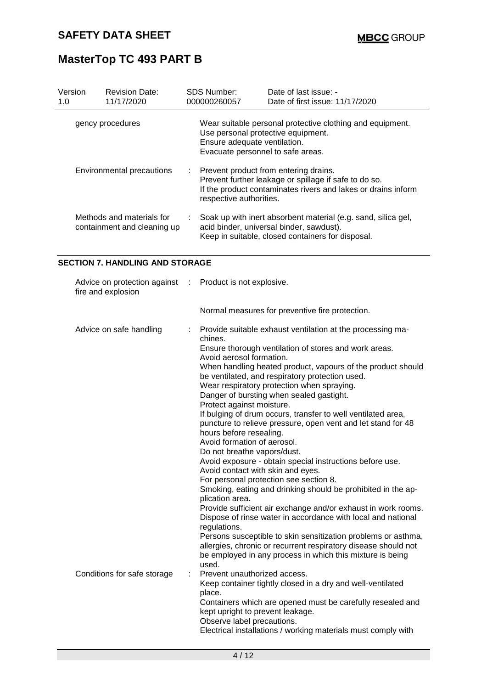| Version<br>1.0 | <b>Revision Date:</b><br>11/17/2020                      |   | <b>SDS Number:</b><br>000000260057                                                                                                                                                                                                         | Date of last issue: -<br>Date of first issue: 11/17/2020                                                                                                                                                                                                                                                                                                                                                                                                                                                                                                                                                                                                                                                                                                                                                                                                                                                                                                               |
|----------------|----------------------------------------------------------|---|--------------------------------------------------------------------------------------------------------------------------------------------------------------------------------------------------------------------------------------------|------------------------------------------------------------------------------------------------------------------------------------------------------------------------------------------------------------------------------------------------------------------------------------------------------------------------------------------------------------------------------------------------------------------------------------------------------------------------------------------------------------------------------------------------------------------------------------------------------------------------------------------------------------------------------------------------------------------------------------------------------------------------------------------------------------------------------------------------------------------------------------------------------------------------------------------------------------------------|
|                | gency procedures                                         |   | Ensure adequate ventilation.<br>Evacuate personnel to safe areas.                                                                                                                                                                          | Wear suitable personal protective clothing and equipment.<br>Use personal protective equipment.                                                                                                                                                                                                                                                                                                                                                                                                                                                                                                                                                                                                                                                                                                                                                                                                                                                                        |
|                | Environmental precautions                                |   | respective authorities.                                                                                                                                                                                                                    | Prevent product from entering drains.<br>Prevent further leakage or spillage if safe to do so.<br>If the product contaminates rivers and lakes or drains inform                                                                                                                                                                                                                                                                                                                                                                                                                                                                                                                                                                                                                                                                                                                                                                                                        |
|                | Methods and materials for<br>containment and cleaning up |   |                                                                                                                                                                                                                                            | Soak up with inert absorbent material (e.g. sand, silica gel,<br>acid binder, universal binder, sawdust).<br>Keep in suitable, closed containers for disposal.                                                                                                                                                                                                                                                                                                                                                                                                                                                                                                                                                                                                                                                                                                                                                                                                         |
|                | <b>SECTION 7. HANDLING AND STORAGE</b>                   |   |                                                                                                                                                                                                                                            |                                                                                                                                                                                                                                                                                                                                                                                                                                                                                                                                                                                                                                                                                                                                                                                                                                                                                                                                                                        |
|                | Advice on protection against<br>fire and explosion       | ÷ | Product is not explosive.                                                                                                                                                                                                                  |                                                                                                                                                                                                                                                                                                                                                                                                                                                                                                                                                                                                                                                                                                                                                                                                                                                                                                                                                                        |
|                |                                                          |   |                                                                                                                                                                                                                                            | Normal measures for preventive fire protection.                                                                                                                                                                                                                                                                                                                                                                                                                                                                                                                                                                                                                                                                                                                                                                                                                                                                                                                        |
|                | Advice on safe handling                                  |   | chines.<br>Avoid aerosol formation.<br>Protect against moisture.<br>hours before resealing.<br>Avoid formation of aerosol.<br>Do not breathe vapors/dust.<br>Avoid contact with skin and eyes.<br>plication area.<br>regulations.<br>used. | Provide suitable exhaust ventilation at the processing ma-<br>Ensure thorough ventilation of stores and work areas.<br>When handling heated product, vapours of the product should<br>be ventilated, and respiratory protection used.<br>Wear respiratory protection when spraying.<br>Danger of bursting when sealed gastight.<br>If bulging of drum occurs, transfer to well ventilated area,<br>puncture to relieve pressure, open vent and let stand for 48<br>Avoid exposure - obtain special instructions before use.<br>For personal protection see section 8.<br>Smoking, eating and drinking should be prohibited in the ap-<br>Provide sufficient air exchange and/or exhaust in work rooms.<br>Dispose of rinse water in accordance with local and national<br>Persons susceptible to skin sensitization problems or asthma,<br>allergies, chronic or recurrent respiratory disease should not<br>be employed in any process in which this mixture is being |
|                | Conditions for safe storage                              | ÷ | Prevent unauthorized access.<br>place.<br>kept upright to prevent leakage.<br>Observe label precautions.                                                                                                                                   | Keep container tightly closed in a dry and well-ventilated<br>Containers which are opened must be carefully resealed and<br>Electrical installations / working materials must comply with                                                                                                                                                                                                                                                                                                                                                                                                                                                                                                                                                                                                                                                                                                                                                                              |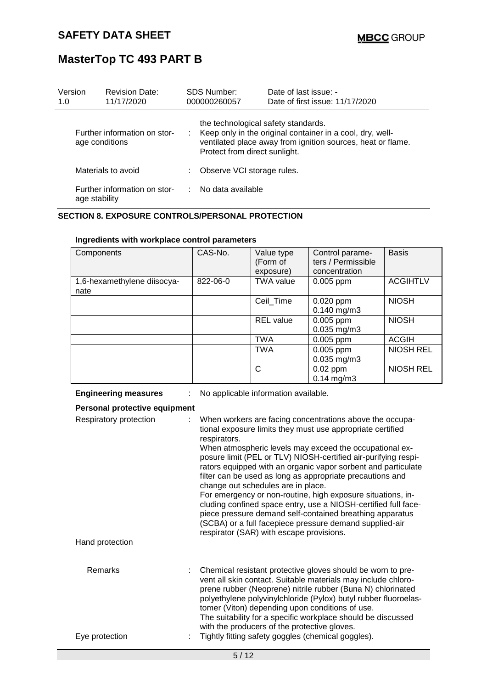| Version<br>1.0 | <b>Revision Date:</b><br>11/17/2020            |    | <b>SDS Number:</b><br>000000260057                                   | Date of last issue: -<br>Date of first issue: 11/17/2020                                                                   |
|----------------|------------------------------------------------|----|----------------------------------------------------------------------|----------------------------------------------------------------------------------------------------------------------------|
|                | Further information on stor-<br>age conditions |    | the technological safety standards.<br>Protect from direct sunlight. | : Keep only in the original container in a cool, dry, well-<br>ventilated place away from ignition sources, heat or flame. |
|                | Materials to avoid                             | ÷. | Observe VCI storage rules.                                           |                                                                                                                            |
|                | Further information on stor-<br>age stability  |    | $\therefore$ No data available                                       |                                                                                                                            |

#### **SECTION 8. EXPOSURE CONTROLS/PERSONAL PROTECTION**

| Components                          | CAS-No.  | Value type<br>(Form of<br>exposure) | Control parame-<br>ters / Permissible<br>concentration | <b>Basis</b>     |
|-------------------------------------|----------|-------------------------------------|--------------------------------------------------------|------------------|
| 1,6-hexamethylene diisocya-<br>nate | 822-06-0 | <b>TWA value</b>                    | $0.005$ ppm                                            | <b>ACGIHTLV</b>  |
|                                     |          | Ceil Time                           | $0.020$ ppm<br>$0.140$ mg/m3                           | <b>NIOSH</b>     |
|                                     |          | <b>REL</b> value                    | $0.005$ ppm<br>$0.035$ mg/m $3$                        | <b>NIOSH</b>     |
|                                     |          | <b>TWA</b>                          | $0.005$ ppm                                            | <b>ACGIH</b>     |
|                                     |          | <b>TWA</b>                          | $0.005$ ppm<br>$0.035$ mg/m $3$                        | <b>NIOSH REL</b> |
|                                     |          | С                                   | $0.02$ ppm<br>$0.14$ mg/m3                             | <b>NIOSH REL</b> |

#### **Ingredients with workplace control parameters**

| <b>Engineering measures</b> |  |
|-----------------------------|--|
|-----------------------------|--|

**Engineering measures** : No applicable information available.

| Personal protective equipment    |                                                                                                                                                                                                                                                                                                                                                                                                                                                                                                                                                                                                                                                                                                                                             |  |  |  |  |  |
|----------------------------------|---------------------------------------------------------------------------------------------------------------------------------------------------------------------------------------------------------------------------------------------------------------------------------------------------------------------------------------------------------------------------------------------------------------------------------------------------------------------------------------------------------------------------------------------------------------------------------------------------------------------------------------------------------------------------------------------------------------------------------------------|--|--|--|--|--|
| Respiratory protection<br>t.     | When workers are facing concentrations above the occupa-<br>tional exposure limits they must use appropriate certified<br>respirators.<br>When atmospheric levels may exceed the occupational ex-<br>posure limit (PEL or TLV) NIOSH-certified air-purifying respi-<br>rators equipped with an organic vapor sorbent and particulate<br>filter can be used as long as appropriate precautions and<br>change out schedules are in place.<br>For emergency or non-routine, high exposure situations, in-<br>cluding confined space entry, use a NIOSH-certified full face-<br>piece pressure demand self-contained breathing apparatus<br>(SCBA) or a full facepiece pressure demand supplied-air<br>respirator (SAR) with escape provisions. |  |  |  |  |  |
| Hand protection                  |                                                                                                                                                                                                                                                                                                                                                                                                                                                                                                                                                                                                                                                                                                                                             |  |  |  |  |  |
| <b>Remarks</b><br>Eye protection | Chemical resistant protective gloves should be worn to pre-<br>vent all skin contact. Suitable materials may include chloro-<br>prene rubber (Neoprene) nitrile rubber (Buna N) chlorinated<br>polyethylene polyvinylchloride (Pylox) butyl rubber fluoroelas-<br>tomer (Viton) depending upon conditions of use.<br>The suitability for a specific workplace should be discussed<br>with the producers of the protective gloves.<br>Tightly fitting safety goggles (chemical goggles).                                                                                                                                                                                                                                                     |  |  |  |  |  |
|                                  |                                                                                                                                                                                                                                                                                                                                                                                                                                                                                                                                                                                                                                                                                                                                             |  |  |  |  |  |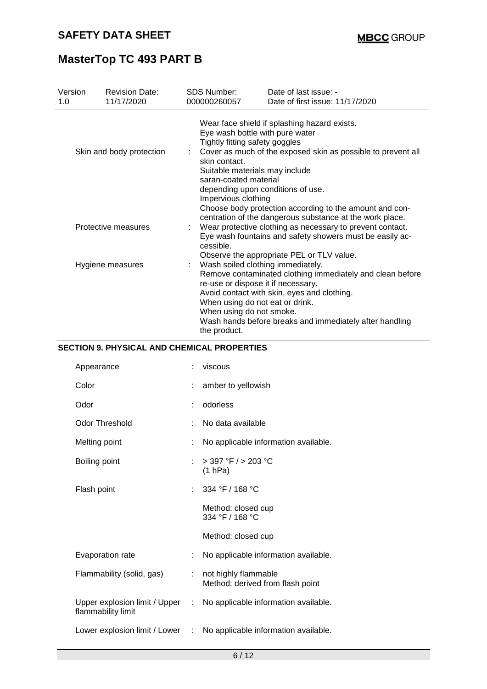| Version<br>1.0 | <b>Revision Date:</b><br>11/17/2020 | <b>SDS Number:</b><br>000000260057                            | Date of last issue: -<br>Date of first issue: 11/17/2020                                                                                                                                                                                                                          |
|----------------|-------------------------------------|---------------------------------------------------------------|-----------------------------------------------------------------------------------------------------------------------------------------------------------------------------------------------------------------------------------------------------------------------------------|
|                |                                     | Tightly fitting safety goggles                                | Wear face shield if splashing hazard exists.<br>Eye wash bottle with pure water                                                                                                                                                                                                   |
|                | Skin and body protection            | skin contact.<br>saran-coated material<br>Impervious clothing | Cover as much of the exposed skin as possible to prevent all<br>Suitable materials may include<br>depending upon conditions of use.<br>Choose body protection according to the amount and con-                                                                                    |
|                | Protective measures                 | cessible.                                                     | centration of the dangerous substance at the work place.<br>Wear protective clothing as necessary to prevent contact.<br>Eye wash fountains and safety showers must be easily ac-<br>Observe the appropriate PEL or TLV value.                                                    |
|                | Hygiene measures                    | When using do not smoke.<br>the product.                      | Wash soiled clothing immediately.<br>Remove contaminated clothing immediately and clean before<br>re-use or dispose it if necessary.<br>Avoid contact with skin, eyes and clothing.<br>When using do not eat or drink.<br>Wash hands before breaks and immediately after handling |

### **SECTION 9. PHYSICAL AND CHEMICAL PROPERTIES**

|                                 | viscous                                                  |
|---------------------------------|----------------------------------------------------------|
|                                 | amber to yellowish                                       |
|                                 | odorless                                                 |
|                                 | No data available                                        |
|                                 | No applicable information available.                     |
|                                 | $>$ 397 °F $/$ > 203 °C<br>(1 hPa)                       |
|                                 | 334 °F / 168 °C                                          |
|                                 | Method: closed cup<br>334 °F / 168 °C                    |
|                                 | Method: closed cup                                       |
|                                 | No applicable information available.                     |
| ÷.                              | not highly flammable<br>Method: derived from flash point |
| Upper explosion limit / Upper : | No applicable information available.                     |
| Lower explosion limit / Lower : | No applicable information available.                     |
|                                 |                                                          |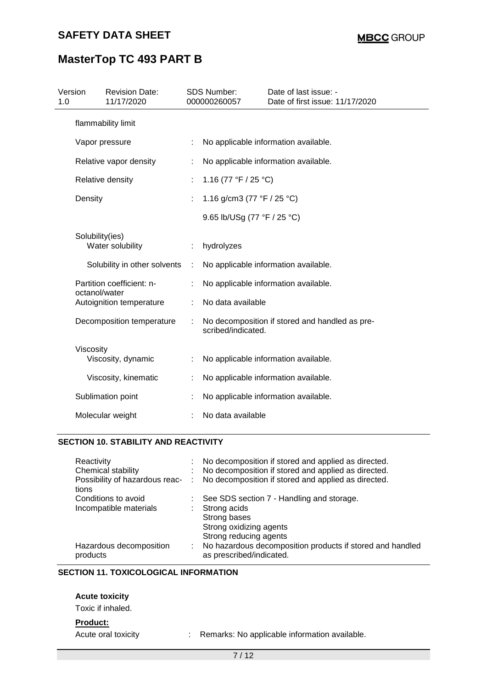### **SAFETY DATA SHEET**

# **MasterTop TC 493 PART B**

| Version<br>1.0 |                 | <b>Revision Date:</b><br>11/17/2020 |   | <b>SDS Number:</b><br>000000260057 | Date of last issue: -<br>Date of first issue: 11/17/2020 |
|----------------|-----------------|-------------------------------------|---|------------------------------------|----------------------------------------------------------|
|                |                 | flammability limit                  |   |                                    |                                                          |
|                | Vapor pressure  |                                     |   |                                    | No applicable information available.                     |
|                |                 | Relative vapor density              |   |                                    | No applicable information available.                     |
|                |                 | Relative density                    |   | 1.16 (77 °F / 25 °C)               |                                                          |
|                | Density         |                                     |   | 1.16 g/cm3 (77 °F / 25 °C)         |                                                          |
|                |                 |                                     |   | 9.65 lb/USg (77 °F / 25 °C)        |                                                          |
|                | Solubility(ies) | Water solubility                    |   | hydrolyzes                         |                                                          |
|                |                 | Solubility in other solvents        | ÷ |                                    | No applicable information available.                     |
|                | octanol/water   | Partition coefficient: n-           |   |                                    | No applicable information available.                     |
|                |                 | Autoignition temperature            |   | No data available                  |                                                          |
|                |                 | Decomposition temperature           |   | scribed/indicated.                 | No decomposition if stored and handled as pre-           |
|                | Viscosity       | Viscosity, dynamic                  | t |                                    | No applicable information available.                     |
|                |                 | Viscosity, kinematic                |   |                                    | No applicable information available.                     |
|                |                 | Sublimation point                   |   |                                    | No applicable information available.                     |
|                |                 | Molecular weight                    |   | No data available                  |                                                          |

#### **SECTION 10. STABILITY AND REACTIVITY**

| Reactivity                                |    | No decomposition if stored and applied as directed.                                   |
|-------------------------------------------|----|---------------------------------------------------------------------------------------|
| Chemical stability                        | ÷. | No decomposition if stored and applied as directed.                                   |
| Possibility of hazardous reac- :<br>tions |    | No decomposition if stored and applied as directed.                                   |
| Conditions to avoid                       |    | See SDS section 7 - Handling and storage.                                             |
| Incompatible materials                    |    | Strong acids                                                                          |
|                                           |    | Strong bases                                                                          |
|                                           |    | Strong oxidizing agents                                                               |
|                                           |    | Strong reducing agents                                                                |
| Hazardous decomposition<br>products       | ÷. | No hazardous decomposition products if stored and handled<br>as prescribed/indicated. |

#### **SECTION 11. TOXICOLOGICAL INFORMATION**

#### **Acute toxicity**

Toxic if inhaled.

#### **Product:**

Acute oral toxicity : Remarks: No applicable information available.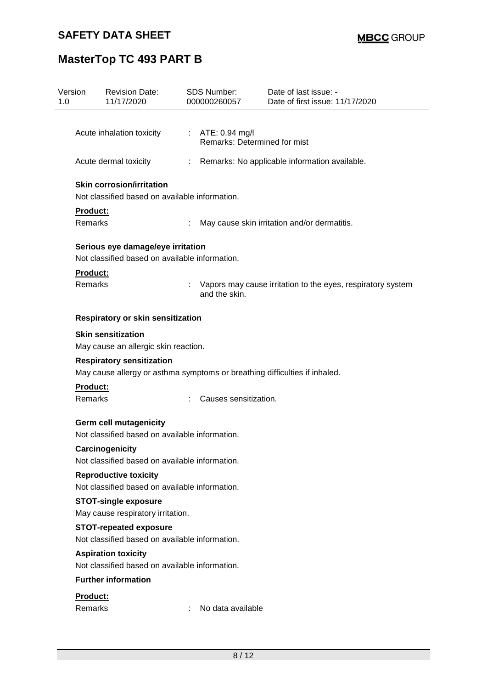| Version<br>1.0                                                                     |                                                                          | <b>Revision Date:</b><br>11/17/2020                        | SDS Number:<br>000000260057                                                |                                                    | Date of last issue: -<br>Date of first issue: 11/17/2020    |  |  |  |
|------------------------------------------------------------------------------------|--------------------------------------------------------------------------|------------------------------------------------------------|----------------------------------------------------------------------------|----------------------------------------------------|-------------------------------------------------------------|--|--|--|
|                                                                                    |                                                                          |                                                            |                                                                            |                                                    |                                                             |  |  |  |
|                                                                                    | Acute inhalation toxicity                                                |                                                            |                                                                            | : $ATE: 0.94$ mg/l<br>Remarks: Determined for mist |                                                             |  |  |  |
|                                                                                    |                                                                          | Acute dermal toxicity                                      | $\mathbb{Z}^{\times}$                                                      |                                                    | Remarks: No applicable information available.               |  |  |  |
| <b>Skin corrosion/irritation</b><br>Not classified based on available information. |                                                                          |                                                            |                                                                            |                                                    |                                                             |  |  |  |
|                                                                                    | Product:                                                                 |                                                            |                                                                            |                                                    |                                                             |  |  |  |
|                                                                                    | Remarks                                                                  |                                                            | ÷                                                                          | May cause skin irritation and/or dermatitis.       |                                                             |  |  |  |
|                                                                                    |                                                                          | Serious eye damage/eye irritation                          |                                                                            |                                                    |                                                             |  |  |  |
|                                                                                    |                                                                          | Not classified based on available information.             |                                                                            |                                                    |                                                             |  |  |  |
|                                                                                    | Product:<br>Remarks                                                      |                                                            | and the skin.                                                              |                                                    | Vapors may cause irritation to the eyes, respiratory system |  |  |  |
|                                                                                    | Respiratory or skin sensitization                                        |                                                            |                                                                            |                                                    |                                                             |  |  |  |
|                                                                                    |                                                                          | <b>Skin sensitization</b>                                  |                                                                            |                                                    |                                                             |  |  |  |
|                                                                                    | May cause an allergic skin reaction.<br><b>Respiratory sensitization</b> |                                                            |                                                                            |                                                    |                                                             |  |  |  |
|                                                                                    |                                                                          |                                                            |                                                                            |                                                    |                                                             |  |  |  |
|                                                                                    |                                                                          |                                                            | May cause allergy or asthma symptoms or breathing difficulties if inhaled. |                                                    |                                                             |  |  |  |
|                                                                                    |                                                                          | <b>Product:</b><br><b>Remarks</b><br>Causes sensitization. |                                                                            |                                                    |                                                             |  |  |  |
|                                                                                    | <b>Germ cell mutagenicity</b>                                            |                                                            |                                                                            |                                                    |                                                             |  |  |  |
|                                                                                    |                                                                          | Not classified based on available information.             |                                                                            |                                                    |                                                             |  |  |  |
|                                                                                    |                                                                          | <b>Carcinogenicity</b>                                     |                                                                            |                                                    |                                                             |  |  |  |
|                                                                                    |                                                                          | Not classified based on available information.             |                                                                            |                                                    |                                                             |  |  |  |
|                                                                                    |                                                                          | <b>Reproductive toxicity</b>                               |                                                                            |                                                    |                                                             |  |  |  |
|                                                                                    |                                                                          | Not classified based on available information.             |                                                                            |                                                    |                                                             |  |  |  |
|                                                                                    | <b>STOT-single exposure</b><br>May cause respiratory irritation.         |                                                            |                                                                            |                                                    |                                                             |  |  |  |
|                                                                                    | <b>STOT-repeated exposure</b>                                            |                                                            |                                                                            |                                                    |                                                             |  |  |  |
|                                                                                    | Not classified based on available information.                           |                                                            |                                                                            |                                                    |                                                             |  |  |  |
|                                                                                    |                                                                          | <b>Aspiration toxicity</b>                                 |                                                                            |                                                    |                                                             |  |  |  |
|                                                                                    |                                                                          | Not classified based on available information.             |                                                                            |                                                    |                                                             |  |  |  |
|                                                                                    |                                                                          | <b>Further information</b>                                 |                                                                            |                                                    |                                                             |  |  |  |
|                                                                                    | Product:                                                                 |                                                            |                                                                            |                                                    |                                                             |  |  |  |
|                                                                                    | Remarks                                                                  |                                                            |                                                                            | No data available                                  |                                                             |  |  |  |
|                                                                                    |                                                                          |                                                            |                                                                            |                                                    |                                                             |  |  |  |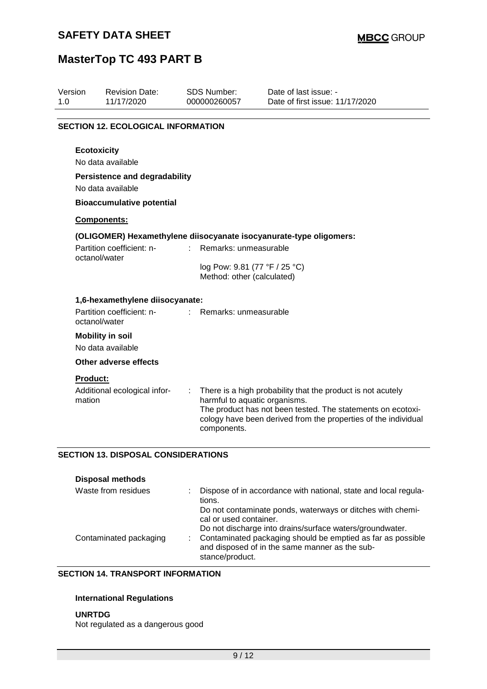| Version<br>1.0 | <b>Revision Date:</b><br>11/17/2020          | <b>SDS Number:</b><br>000000260057                          | Date of last issue: -<br>Date of first issue: 11/17/2020                                                                                                                                     |
|----------------|----------------------------------------------|-------------------------------------------------------------|----------------------------------------------------------------------------------------------------------------------------------------------------------------------------------------------|
|                | <b>SECTION 12. ECOLOGICAL INFORMATION</b>    |                                                             |                                                                                                                                                                                              |
|                | <b>Ecotoxicity</b><br>No data available      |                                                             |                                                                                                                                                                                              |
|                | <b>Persistence and degradability</b>         |                                                             |                                                                                                                                                                                              |
|                | No data available                            |                                                             |                                                                                                                                                                                              |
|                | <b>Bioaccumulative potential</b>             |                                                             |                                                                                                                                                                                              |
|                | Components:                                  |                                                             |                                                                                                                                                                                              |
|                |                                              |                                                             | (OLIGOMER) Hexamethylene diisocyanate isocyanurate-type oligomers:                                                                                                                           |
|                | Partition coefficient: n-                    | Remarks: unmeasurable                                       |                                                                                                                                                                                              |
|                | octanol/water                                | log Pow: 9.81 (77 °F / 25 °C)<br>Method: other (calculated) |                                                                                                                                                                                              |
|                | 1,6-hexamethylene diisocyanate:              |                                                             |                                                                                                                                                                                              |
|                | Partition coefficient: n-<br>octanol/water   | Remarks: unmeasurable                                       |                                                                                                                                                                                              |
|                | <b>Mobility in soil</b><br>No data available |                                                             |                                                                                                                                                                                              |
|                | Other adverse effects                        |                                                             |                                                                                                                                                                                              |
|                | <b>Product:</b>                              |                                                             |                                                                                                                                                                                              |
| mation         | Additional ecological infor-                 | t.<br>harmful to aquatic organisms.<br>components.          | There is a high probability that the product is not acutely<br>The product has not been tested. The statements on ecotoxi-<br>cology have been derived from the properties of the individual |
|                | <b>SECTION 13. DISPOSAL CONSIDERATIONS</b>   |                                                             |                                                                                                                                                                                              |
|                | <b>Disposal methods</b>                      |                                                             |                                                                                                                                                                                              |
|                | Waste from residues                          | tions.<br>cal or used container.                            | Dispose of in accordance with national, state and local regula-<br>Do not contaminate ponds, waterways or ditches with chemi-<br>Do not discharge into drains/surface waters/groundwater.    |

#### **SECTION 14. TRANSPORT INFORMATION**

#### **International Regulations**

**UNRTDG** Not regulated as a dangerous good

Contaminated packaging : Contaminated packaging should be emptied as far as possible

stance/product.

and disposed of in the same manner as the sub-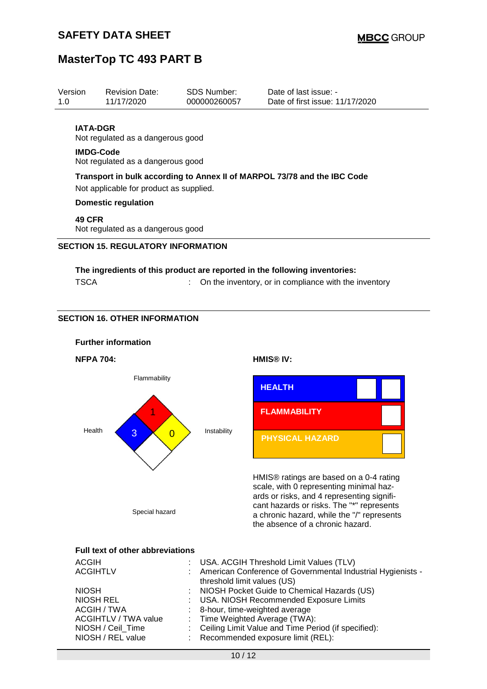| Version<br>1.0   | <b>Revision Date:</b><br>11/17/2020                                                                                 | SDS Number:<br>000000260057 | Date of last issue: -<br>Date of first issue: 11/17/2020 |  |  |
|------------------|---------------------------------------------------------------------------------------------------------------------|-----------------------------|----------------------------------------------------------|--|--|
| <b>IATA-DGR</b>  | Not regulated as a dangerous good                                                                                   |                             |                                                          |  |  |
| <b>IMDG-Code</b> | Not regulated as a dangerous good                                                                                   |                             |                                                          |  |  |
|                  | Transport in bulk according to Annex II of MARPOL 73/78 and the IBC Code<br>Not applicable for product as supplied. |                             |                                                          |  |  |
|                  | Domestic regulation                                                                                                 |                             |                                                          |  |  |
|                  | <b>49 CFR</b><br>Not regulated as a dangerous good                                                                  |                             |                                                          |  |  |
|                  | <b>SECTION 15. REGULATORY INFORMATION</b>                                                                           |                             |                                                          |  |  |
|                  | The ingredients of this product are reported in the following inventories:                                          |                             |                                                          |  |  |

| <b>TSCA</b> | : On the inventory, or in compliance with the inventory |
|-------------|---------------------------------------------------------|
|-------------|---------------------------------------------------------|

### **SECTION 16. OTHER INFORMATION**

#### **Further information**

**NFPA 704: HMIS® IV:**





HMIS® ratings are based on a 0-4 rating scale, with 0 representing minimal hazards or risks, and 4 representing significant hazards or risks. The "\*" represents a chronic hazard, while the "/" represents the absence of a chronic hazard.

#### **Full text of other abbreviations**

| <b>ACGIH</b>         | : USA. ACGIH Threshold Limit Values (TLV)                     |
|----------------------|---------------------------------------------------------------|
| <b>ACGIHTLV</b>      | : American Conference of Governmental Industrial Hygienists - |
|                      | threshold limit values (US)                                   |
| <b>NIOSH</b>         | : NIOSH Pocket Guide to Chemical Hazards (US)                 |
| <b>NIOSH REL</b>     | : USA. NIOSH Recommended Exposure Limits                      |
| ACGIH / TWA          | : 8-hour, time-weighted average                               |
| ACGIHTLV / TWA value | : Time Weighted Average (TWA):                                |
| NIOSH / Ceil_Time    | : Ceiling Limit Value and Time Period (if specified):         |
| NIOSH / REL value    | : Recommended exposure limit (REL):                           |
|                      |                                                               |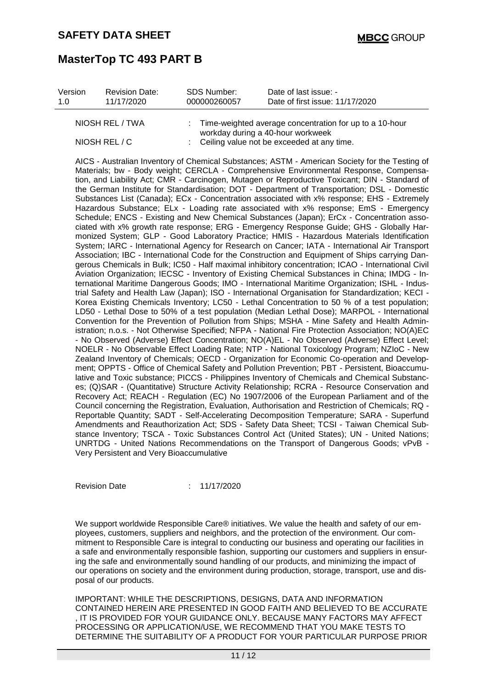| Version<br>1.0 | <b>Revision Date:</b><br>11/17/2020      | SDS Number:<br>000000260057 | Date of last issue: -<br>Date of first issue: 11/17/2020                                                                                                                                                                                                                                                                                                                                                                                                                                                                                                                                                                                                                                                                                                                                                                                                                                                                                                                                                                                                                                                                                                                                                                                                                                                                                                                                                                                                                                                                                                                                                                                                                                                                                                                                                                                                                                                                                                                                                                                                                                                                                                                                                                                                                                                                                                                                                                                                                                                                                                                                                                                                                                                                                                                                                                                                                                                                                                                                                                                                                   |
|----------------|------------------------------------------|-----------------------------|----------------------------------------------------------------------------------------------------------------------------------------------------------------------------------------------------------------------------------------------------------------------------------------------------------------------------------------------------------------------------------------------------------------------------------------------------------------------------------------------------------------------------------------------------------------------------------------------------------------------------------------------------------------------------------------------------------------------------------------------------------------------------------------------------------------------------------------------------------------------------------------------------------------------------------------------------------------------------------------------------------------------------------------------------------------------------------------------------------------------------------------------------------------------------------------------------------------------------------------------------------------------------------------------------------------------------------------------------------------------------------------------------------------------------------------------------------------------------------------------------------------------------------------------------------------------------------------------------------------------------------------------------------------------------------------------------------------------------------------------------------------------------------------------------------------------------------------------------------------------------------------------------------------------------------------------------------------------------------------------------------------------------------------------------------------------------------------------------------------------------------------------------------------------------------------------------------------------------------------------------------------------------------------------------------------------------------------------------------------------------------------------------------------------------------------------------------------------------------------------------------------------------------------------------------------------------------------------------------------------------------------------------------------------------------------------------------------------------------------------------------------------------------------------------------------------------------------------------------------------------------------------------------------------------------------------------------------------------------------------------------------------------------------------------------------------------|
|                | NIOSH REL / TWA<br>NIOSH REL / C         |                             | Time-weighted average concentration for up to a 10-hour<br>workday during a 40-hour workweek<br>Ceiling value not be exceeded at any time.                                                                                                                                                                                                                                                                                                                                                                                                                                                                                                                                                                                                                                                                                                                                                                                                                                                                                                                                                                                                                                                                                                                                                                                                                                                                                                                                                                                                                                                                                                                                                                                                                                                                                                                                                                                                                                                                                                                                                                                                                                                                                                                                                                                                                                                                                                                                                                                                                                                                                                                                                                                                                                                                                                                                                                                                                                                                                                                                 |
|                | Very Persistent and Very Bioaccumulative |                             | AICS - Australian Inventory of Chemical Substances; ASTM - American Society for the Testing of<br>Materials; bw - Body weight; CERCLA - Comprehensive Environmental Response, Compensa-<br>tion, and Liability Act; CMR - Carcinogen, Mutagen or Reproductive Toxicant; DIN - Standard of<br>the German Institute for Standardisation; DOT - Department of Transportation; DSL - Domestic<br>Substances List (Canada); ECx - Concentration associated with x% response; EHS - Extremely<br>Hazardous Substance; ELx - Loading rate associated with x% response; EmS - Emergency<br>Schedule; ENCS - Existing and New Chemical Substances (Japan); ErCx - Concentration asso-<br>ciated with x% growth rate response; ERG - Emergency Response Guide; GHS - Globally Har-<br>monized System; GLP - Good Laboratory Practice; HMIS - Hazardous Materials Identification<br>System; IARC - International Agency for Research on Cancer; IATA - International Air Transport<br>Association; IBC - International Code for the Construction and Equipment of Ships carrying Dan-<br>gerous Chemicals in Bulk; IC50 - Half maximal inhibitory concentration; ICAO - International Civil<br>Aviation Organization; IECSC - Inventory of Existing Chemical Substances in China; IMDG - In-<br>ternational Maritime Dangerous Goods; IMO - International Maritime Organization; ISHL - Indus-<br>trial Safety and Health Law (Japan); ISO - International Organisation for Standardization; KECI -<br>Korea Existing Chemicals Inventory; LC50 - Lethal Concentration to 50 % of a test population;<br>LD50 - Lethal Dose to 50% of a test population (Median Lethal Dose); MARPOL - International<br>Convention for the Prevention of Pollution from Ships; MSHA - Mine Safety and Health Admin-<br>istration; n.o.s. - Not Otherwise Specified; NFPA - National Fire Protection Association; NO(A)EC<br>- No Observed (Adverse) Effect Concentration; NO(A)EL - No Observed (Adverse) Effect Level;<br>NOELR - No Observable Effect Loading Rate; NTP - National Toxicology Program; NZIoC - New<br>Zealand Inventory of Chemicals; OECD - Organization for Economic Co-operation and Develop-<br>ment; OPPTS - Office of Chemical Safety and Pollution Prevention; PBT - Persistent, Bioaccumu-<br>lative and Toxic substance; PICCS - Philippines Inventory of Chemicals and Chemical Substanc-<br>es; (Q)SAR - (Quantitative) Structure Activity Relationship; RCRA - Resource Conservation and<br>Recovery Act; REACH - Regulation (EC) No 1907/2006 of the European Parliament and of the<br>Council concerning the Registration, Evaluation, Authorisation and Restriction of Chemicals; RQ -<br>Reportable Quantity; SADT - Self-Accelerating Decomposition Temperature; SARA - Superfund<br>Amendments and Reauthorization Act; SDS - Safety Data Sheet; TCSI - Taiwan Chemical Sub-<br>stance Inventory; TSCA - Toxic Substances Control Act (United States); UN - United Nations;<br>UNRTDG - United Nations Recommendations on the Transport of Dangerous Goods; vPvB - |

Revision Date : 11/17/2020

We support worldwide Responsible Care® initiatives. We value the health and safety of our employees, customers, suppliers and neighbors, and the protection of the environment. Our commitment to Responsible Care is integral to conducting our business and operating our facilities in a safe and environmentally responsible fashion, supporting our customers and suppliers in ensuring the safe and environmentally sound handling of our products, and minimizing the impact of our operations on society and the environment during production, storage, transport, use and disposal of our products.

IMPORTANT: WHILE THE DESCRIPTIONS, DESIGNS, DATA AND INFORMATION CONTAINED HEREIN ARE PRESENTED IN GOOD FAITH AND BELIEVED TO BE ACCURATE , IT IS PROVIDED FOR YOUR GUIDANCE ONLY. BECAUSE MANY FACTORS MAY AFFECT PROCESSING OR APPLICATION/USE, WE RECOMMEND THAT YOU MAKE TESTS TO DETERMINE THE SUITABILITY OF A PRODUCT FOR YOUR PARTICULAR PURPOSE PRIOR